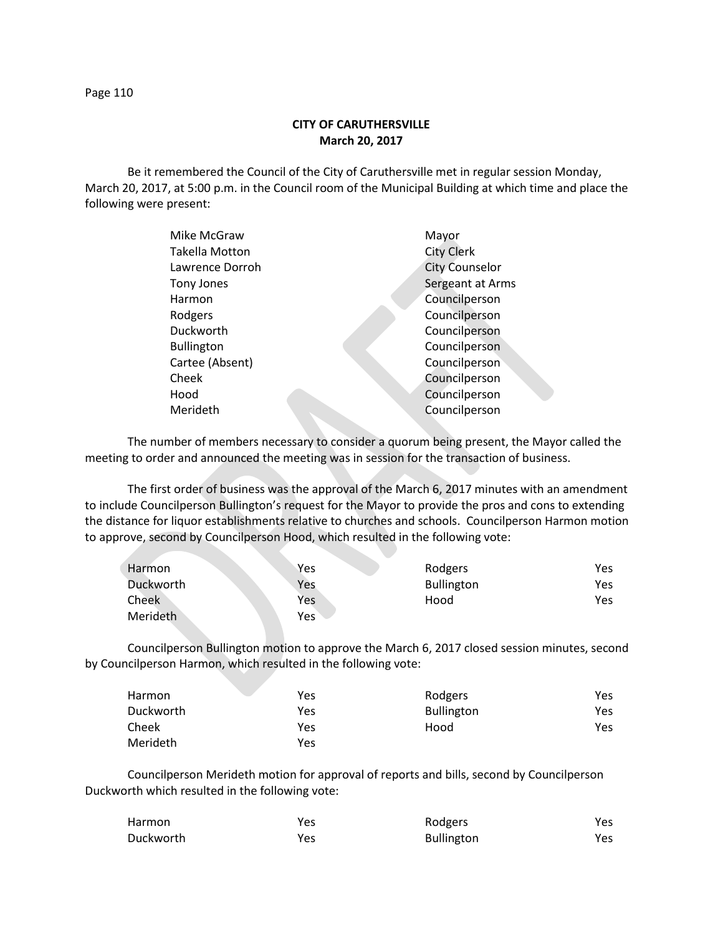Page 110

## **CITY OF CARUTHERSVILLE March 20, 2017**

Be it remembered the Council of the City of Caruthersville met in regular session Monday, March 20, 2017, at 5:00 p.m. in the Council room of the Municipal Building at which time and place the following were present:

| Mike McGraw       | Mayor                 |
|-------------------|-----------------------|
| Takella Motton    | <b>City Clerk</b>     |
| Lawrence Dorroh   | <b>City Counselor</b> |
| Tony Jones        | Sergeant at Arms      |
| Harmon            | Councilperson         |
| Rodgers           | Councilperson         |
| Duckworth         | Councilperson         |
| <b>Bullington</b> | Councilperson         |
| Cartee (Absent)   | Councilperson         |
| Cheek             | Councilperson         |
| Hood              | Councilperson         |
| Merideth          | Councilperson         |
|                   |                       |

The number of members necessary to consider a quorum being present, the Mayor called the meeting to order and announced the meeting was in session for the transaction of business.

The first order of business was the approval of the March 6, 2017 minutes with an amendment to include Councilperson Bullington's request for the Mayor to provide the pros and cons to extending the distance for liquor establishments relative to churches and schools. Councilperson Harmon motion to approve, second by Councilperson Hood, which resulted in the following vote:

| Harmon    | <b>Yes</b> | Rodgers           | Yes |
|-----------|------------|-------------------|-----|
| Duckworth | Yes        | <b>Bullington</b> | Yes |
| Cheek     | Yes        | Hood              | Yes |
| Merideth  | Yes        |                   |     |

Councilperson Bullington motion to approve the March 6, 2017 closed session minutes, second by Councilperson Harmon, which resulted in the following vote:

| Harmon    | Yes | Rodgers           | Yes |
|-----------|-----|-------------------|-----|
| Duckworth | Yes | <b>Bullington</b> | Yes |
| Cheek     | Yes | Hood              | Yes |
| Merideth  | Yes |                   |     |

Councilperson Merideth motion for approval of reports and bills, second by Councilperson Duckworth which resulted in the following vote:

| <b>Harmon</b> | Yes  | Rodgers           | Yes  |
|---------------|------|-------------------|------|
| Duckworth     | Yes. | <b>Bullington</b> | Yes. |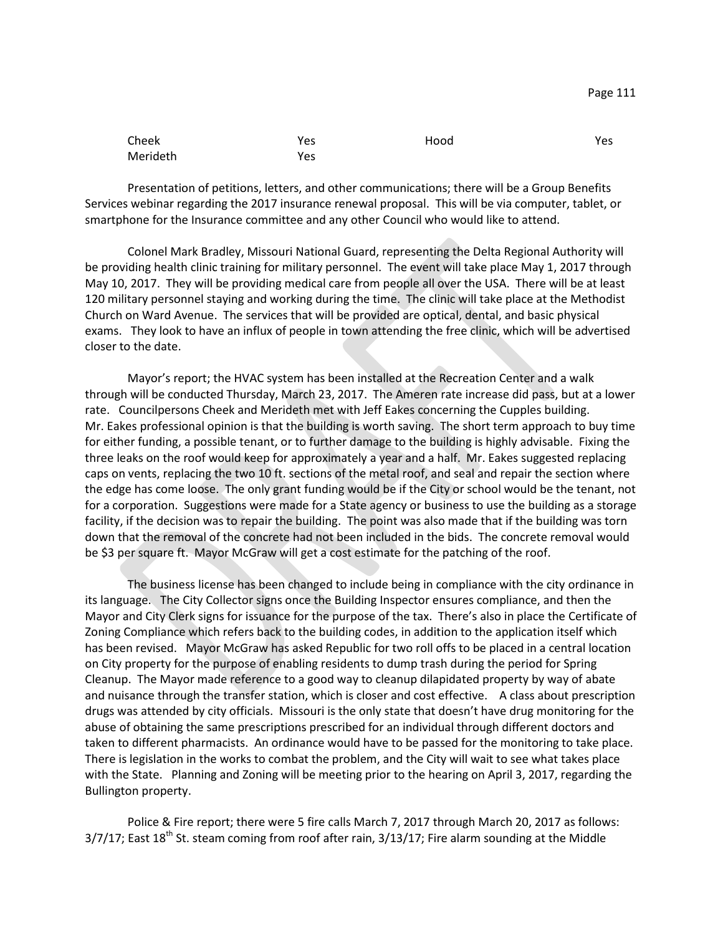| Cheek    | Yes | Hood | Yes |
|----------|-----|------|-----|
| Merideth | Yes |      |     |

Presentation of petitions, letters, and other communications; there will be a Group Benefits Services webinar regarding the 2017 insurance renewal proposal. This will be via computer, tablet, or smartphone for the Insurance committee and any other Council who would like to attend.

Colonel Mark Bradley, Missouri National Guard, representing the Delta Regional Authority will be providing health clinic training for military personnel. The event will take place May 1, 2017 through May 10, 2017. They will be providing medical care from people all over the USA. There will be at least 120 military personnel staying and working during the time. The clinic will take place at the Methodist Church on Ward Avenue. The services that will be provided are optical, dental, and basic physical exams. They look to have an influx of people in town attending the free clinic, which will be advertised closer to the date.

Mayor's report; the HVAC system has been installed at the Recreation Center and a walk through will be conducted Thursday, March 23, 2017. The Ameren rate increase did pass, but at a lower rate. Councilpersons Cheek and Merideth met with Jeff Eakes concerning the Cupples building. Mr. Eakes professional opinion is that the building is worth saving. The short term approach to buy time for either funding, a possible tenant, or to further damage to the building is highly advisable. Fixing the three leaks on the roof would keep for approximately a year and a half. Mr. Eakes suggested replacing caps on vents, replacing the two 10 ft. sections of the metal roof, and seal and repair the section where the edge has come loose. The only grant funding would be if the City or school would be the tenant, not for a corporation. Suggestions were made for a State agency or business to use the building as a storage facility, if the decision was to repair the building. The point was also made that if the building was torn down that the removal of the concrete had not been included in the bids. The concrete removal would be \$3 per square ft. Mayor McGraw will get a cost estimate for the patching of the roof.

The business license has been changed to include being in compliance with the city ordinance in its language. The City Collector signs once the Building Inspector ensures compliance, and then the Mayor and City Clerk signs for issuance for the purpose of the tax. There's also in place the Certificate of Zoning Compliance which refers back to the building codes, in addition to the application itself which has been revised. Mayor McGraw has asked Republic for two roll offs to be placed in a central location on City property for the purpose of enabling residents to dump trash during the period for Spring Cleanup. The Mayor made reference to a good way to cleanup dilapidated property by way of abate and nuisance through the transfer station, which is closer and cost effective. A class about prescription drugs was attended by city officials. Missouri is the only state that doesn't have drug monitoring for the abuse of obtaining the same prescriptions prescribed for an individual through different doctors and taken to different pharmacists. An ordinance would have to be passed for the monitoring to take place. There is legislation in the works to combat the problem, and the City will wait to see what takes place with the State. Planning and Zoning will be meeting prior to the hearing on April 3, 2017, regarding the Bullington property.

Police & Fire report; there were 5 fire calls March 7, 2017 through March 20, 2017 as follows:  $3/7/17$ ; East 18<sup>th</sup> St. steam coming from roof after rain,  $3/13/17$ ; Fire alarm sounding at the Middle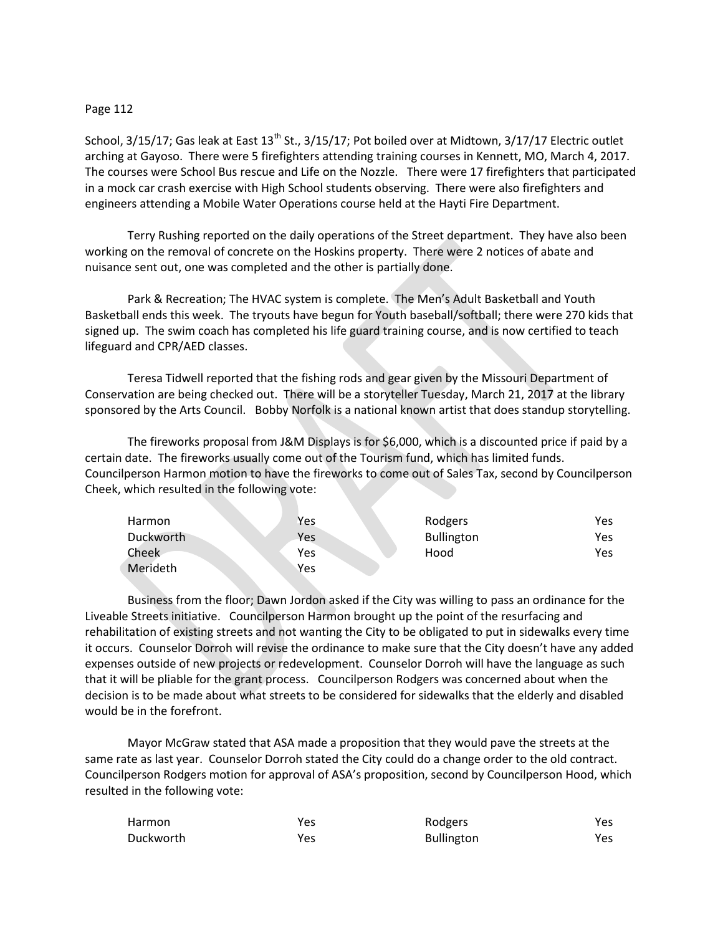## Page 112

School, 3/15/17; Gas leak at East 13<sup>th</sup> St., 3/15/17; Pot boiled over at Midtown, 3/17/17 Electric outlet arching at Gayoso. There were 5 firefighters attending training courses in Kennett, MO, March 4, 2017. The courses were School Bus rescue and Life on the Nozzle. There were 17 firefighters that participated in a mock car crash exercise with High School students observing. There were also firefighters and engineers attending a Mobile Water Operations course held at the Hayti Fire Department.

Terry Rushing reported on the daily operations of the Street department. They have also been working on the removal of concrete on the Hoskins property. There were 2 notices of abate and nuisance sent out, one was completed and the other is partially done.

Park & Recreation; The HVAC system is complete. The Men's Adult Basketball and Youth Basketball ends this week. The tryouts have begun for Youth baseball/softball; there were 270 kids that signed up. The swim coach has completed his life guard training course, and is now certified to teach lifeguard and CPR/AED classes.

Teresa Tidwell reported that the fishing rods and gear given by the Missouri Department of Conservation are being checked out. There will be a storyteller Tuesday, March 21, 2017 at the library sponsored by the Arts Council. Bobby Norfolk is a national known artist that does standup storytelling.

The fireworks proposal from J&M Displays is for \$6,000, which is a discounted price if paid by a certain date. The fireworks usually come out of the Tourism fund, which has limited funds. Councilperson Harmon motion to have the fireworks to come out of Sales Tax, second by Councilperson Cheek, which resulted in the following vote:

| <b>Harmon</b> | Yes | Rodgers           | Yes |
|---------------|-----|-------------------|-----|
| Duckworth     | Yes | <b>Bullington</b> | Yes |
| Cheek         | Yes | Hood              | Yes |
| Merideth      | Yes |                   |     |

Business from the floor; Dawn Jordon asked if the City was willing to pass an ordinance for the Liveable Streets initiative. Councilperson Harmon brought up the point of the resurfacing and rehabilitation of existing streets and not wanting the City to be obligated to put in sidewalks every time it occurs. Counselor Dorroh will revise the ordinance to make sure that the City doesn't have any added expenses outside of new projects or redevelopment. Counselor Dorroh will have the language as such that it will be pliable for the grant process. Councilperson Rodgers was concerned about when the decision is to be made about what streets to be considered for sidewalks that the elderly and disabled would be in the forefront.

Mayor McGraw stated that ASA made a proposition that they would pave the streets at the same rate as last year. Counselor Dorroh stated the City could do a change order to the old contract. Councilperson Rodgers motion for approval of ASA's proposition, second by Councilperson Hood, which resulted in the following vote:

| Harmon    | Yes | Rodgers           | Yes  |
|-----------|-----|-------------------|------|
| Duckworth | Yes | <b>Bullington</b> | Yes. |